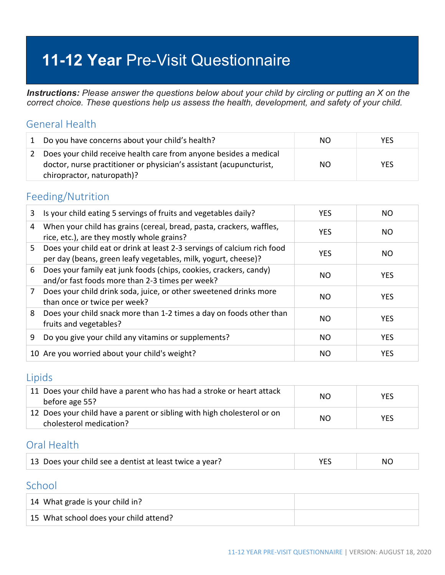# **11-12 Year** Pre-Visit Questionnaire

*Instructions: Please answer the questions below about your child by circling or putting an X on the correct choice. These questions help us assess the health, development, and safety of your child.*

### General Health

|               | 1 Do you have concerns about your child's health?                                                                                                                      | NO. | <b>YES</b> |
|---------------|------------------------------------------------------------------------------------------------------------------------------------------------------------------------|-----|------------|
| $\mathcal{L}$ | Does your child receive health care from anyone besides a medical<br>doctor, nurse practitioner or physician's assistant (acupuncturist,<br>chiropractor, naturopath)? | NO. | <b>YES</b> |

### Feeding/Nutrition

| 3  | Is your child eating 5 servings of fruits and vegetables daily?                                                                           | <b>YES</b> | NO.        |
|----|-------------------------------------------------------------------------------------------------------------------------------------------|------------|------------|
| 4  | When your child has grains (cereal, bread, pasta, crackers, waffles,<br>rice, etc.), are they mostly whole grains?                        | <b>YES</b> | NO.        |
| 5. | Does your child eat or drink at least 2-3 servings of calcium rich food<br>per day (beans, green leafy vegetables, milk, yogurt, cheese)? | <b>YES</b> | NO.        |
| 6  | Does your family eat junk foods (chips, cookies, crackers, candy)<br>and/or fast foods more than 2-3 times per week?                      | NO.        | <b>YES</b> |
| 7  | Does your child drink soda, juice, or other sweetened drinks more<br>than once or twice per week?                                         | NO.        | <b>YES</b> |
| 8  | Does your child snack more than 1-2 times a day on foods other than<br>fruits and vegetables?                                             | NO.        | <b>YES</b> |
| 9  | Do you give your child any vitamins or supplements?                                                                                       | NO.        | <b>YES</b> |
|    | 10 Are you worried about your child's weight?                                                                                             | NO.        | <b>YES</b> |

### Lipids

| 11 Does your child have a parent who has had a stroke or heart attack<br>before age 55?            | NO. | <b>YES</b> |
|----------------------------------------------------------------------------------------------------|-----|------------|
| 12 Does your child have a parent or sibling with high cholesterol or on<br>cholesterol medication? | NO. | <b>YES</b> |

# Oral Health

| 13 Does your child see a dentist at least twice a year? |  | NC. |
|---------------------------------------------------------|--|-----|
|---------------------------------------------------------|--|-----|

### **School**

| 14 What grade is your child in?        |  |
|----------------------------------------|--|
| 15 What school does your child attend? |  |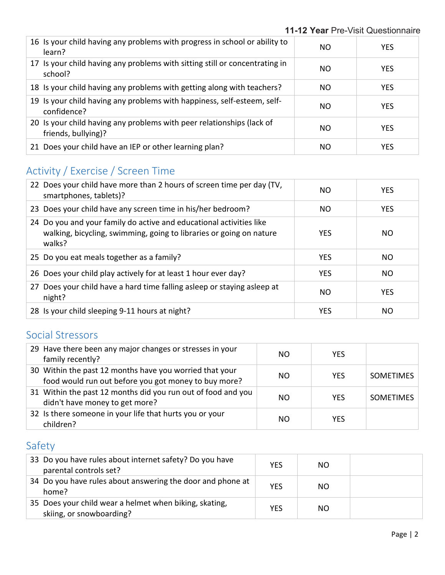#### **11-12 Year** Pre-Visit Questionnaire

| 16 Is your child having any problems with progress in school or ability to<br>learn?         | NO. | <b>YES</b> |
|----------------------------------------------------------------------------------------------|-----|------------|
| 17 Is your child having any problems with sitting still or concentrating in<br>school?       | NO. | <b>YES</b> |
| 18 Is your child having any problems with getting along with teachers?                       | NO. | <b>YES</b> |
| 19 Is your child having any problems with happiness, self-esteem, self-<br>confidence?       | NO. | <b>YES</b> |
| 20 Is your child having any problems with peer relationships (lack of<br>friends, bullying)? | NO. | <b>YES</b> |
| 21 Does your child have an IEP or other learning plan?                                       | NO. | <b>YES</b> |

# Activity / Exercise / Screen Time

| 22 Does your child have more than 2 hours of screen time per day (TV,<br>smartphones, tablets)?                                                      | NO.        | <b>YES</b> |
|------------------------------------------------------------------------------------------------------------------------------------------------------|------------|------------|
| 23 Does your child have any screen time in his/her bedroom?                                                                                          | NO.        | <b>YES</b> |
| 24 Do you and your family do active and educational activities like<br>walking, bicycling, swimming, going to libraries or going on nature<br>walks? | <b>YES</b> | NO.        |
| 25 Do you eat meals together as a family?                                                                                                            | <b>YES</b> | NO.        |
| 26 Does your child play actively for at least 1 hour ever day?                                                                                       | <b>YES</b> | <b>NO</b>  |
| 27 Does your child have a hard time falling asleep or staying asleep at<br>night?                                                                    | NO         | <b>YES</b> |
| 28 Is your child sleeping 9-11 hours at night?                                                                                                       | <b>YES</b> | NO.        |

# Social Stressors

| 29 Have there been any major changes or stresses in your<br>family recently?                                    | NO. | <b>YES</b> |                  |
|-----------------------------------------------------------------------------------------------------------------|-----|------------|------------------|
| 30 Within the past 12 months have you worried that your<br>food would run out before you got money to buy more? | NO. | <b>YES</b> | <b>SOMETIMES</b> |
| 31 Within the past 12 months did you run out of food and you<br>didn't have money to get more?                  | NO. | <b>YES</b> | <b>SOMETIMES</b> |
| 32 Is there someone in your life that hurts you or your<br>children?                                            | NO. | <b>YFS</b> |                  |

# Safety

| 33 Do you have rules about internet safety? Do you have<br>parental controls set?  | <b>YES</b> | NO. |  |
|------------------------------------------------------------------------------------|------------|-----|--|
| 34 Do you have rules about answering the door and phone at<br>home?                | <b>YES</b> | NO. |  |
| 35 Does your child wear a helmet when biking, skating,<br>skiing, or snowboarding? | <b>YES</b> | NO  |  |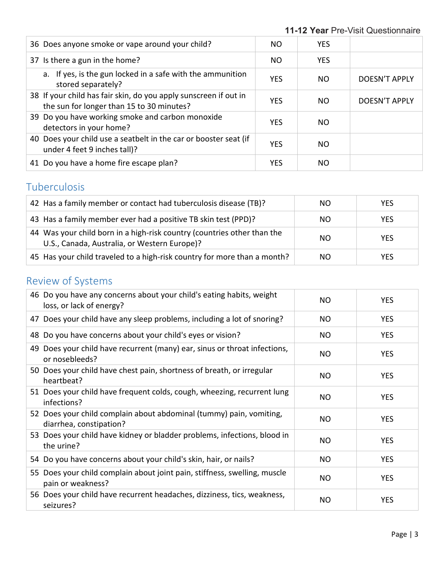| 36 Does anyone smoke or vape around your child?                                                               | NO.        | <b>YES</b> |               |
|---------------------------------------------------------------------------------------------------------------|------------|------------|---------------|
| 37 Is there a gun in the home?                                                                                | NO.        | <b>YES</b> |               |
| a. If yes, is the gun locked in a safe with the ammunition<br>stored separately?                              | <b>YES</b> | NO.        | DOESN'T APPLY |
| 38 If your child has fair skin, do you apply sunscreen if out in<br>the sun for longer than 15 to 30 minutes? | <b>YES</b> | NO.        | DOESN'T APPLY |
| 39 Do you have working smoke and carbon monoxide<br>detectors in your home?                                   | <b>YES</b> | NO.        |               |
| 40 Does your child use a seatbelt in the car or booster seat (if<br>under 4 feet 9 inches tall)?              | <b>YES</b> | NO.        |               |
| 41 Do you have a home fire escape plan?                                                                       | <b>YES</b> | NO.        |               |

# Tuberculosis

| 42 Has a family member or contact had tuberculosis disease (TB)?                                                        | NO. | <b>YES</b> |
|-------------------------------------------------------------------------------------------------------------------------|-----|------------|
| 43 Has a family member ever had a positive TB skin test (PPD)?                                                          | NO. | <b>YES</b> |
| 44 Was your child born in a high-risk country (countries other than the<br>U.S., Canada, Australia, or Western Europe)? | NO. | <b>YES</b> |
| 45 Has your child traveled to a high-risk country for more than a month?                                                | NO. | <b>YES</b> |

# Review of Systems

| 46 Do you have any concerns about your child's eating habits, weight<br>loss, or lack of energy? | NO.       | <b>YES</b> |
|--------------------------------------------------------------------------------------------------|-----------|------------|
| 47 Does your child have any sleep problems, including a lot of snoring?                          | <b>NO</b> | <b>YES</b> |
| 48 Do you have concerns about your child's eyes or vision?                                       | <b>NO</b> | <b>YES</b> |
| 49 Does your child have recurrent (many) ear, sinus or throat infections,<br>or nosebleeds?      | NO.       | <b>YES</b> |
| 50 Does your child have chest pain, shortness of breath, or irregular<br>heartbeat?              | <b>NO</b> | <b>YES</b> |
| 51 Does your child have frequent colds, cough, wheezing, recurrent lung<br>infections?           | <b>NO</b> | <b>YES</b> |
| 52 Does your child complain about abdominal (tummy) pain, vomiting,<br>diarrhea, constipation?   | NO        | <b>YES</b> |
| 53 Does your child have kidney or bladder problems, infections, blood in<br>the urine?           | NO        | <b>YES</b> |
| 54 Do you have concerns about your child's skin, hair, or nails?                                 | <b>NO</b> | <b>YES</b> |
| 55 Does your child complain about joint pain, stiffness, swelling, muscle<br>pain or weakness?   | NO        | <b>YES</b> |
| 56 Does your child have recurrent headaches, dizziness, tics, weakness,<br>seizures?             | NO        | <b>YES</b> |